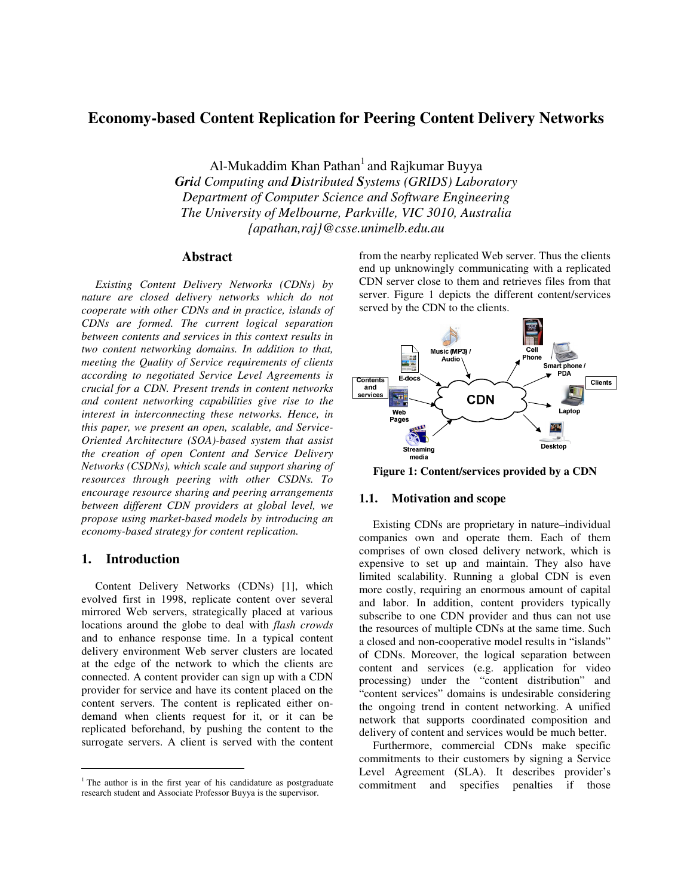# **Economy-based Content Replication for Peering Content Delivery Networks**

Al-Mukaddim Khan Pathan<sup>1</sup> and Rajkumar Buyya *Grid Computing and Distributed Systems (GRIDS) Laboratory Department of Computer Science and Software Engineering The University of Melbourne, Parkville, VIC 3010, Australia {apathan,raj}@csse.unimelb.edu.au*

## **Abstract**

*Existing Content Delivery Networks (CDNs) by nature are closed delivery networks which do not cooperate with other CDNs and in practice, islands of CDNs are formed. The current logical separation between contents and services in this context results in two content networking domains. In addition to that, meeting the Quality of Service requirements of clients according to negotiated Service Level Agreements is crucial for a CDN. Present trends in content networks and content networking capabilities give rise to the interest in interconnecting these networks. Hence, in this paper, we present an open, scalable, and Service-Oriented Architecture (SOA)-based system that assist the creation of open Content and Service Delivery Networks (CSDNs), which scale and support sharing of resources through peering with other CSDNs. To encourage resource sharing and peering arrangements between different CDN providers at global level, we propose using market-based models by introducing an economy-based strategy for content replication.* 

## **1. Introduction**

-

Content Delivery Networks (CDNs) [1], which evolved first in 1998, replicate content over several mirrored Web servers, strategically placed at various locations around the globe to deal with *flash crowds* and to enhance response time. In a typical content delivery environment Web server clusters are located at the edge of the network to which the clients are connected. A content provider can sign up with a CDN provider for service and have its content placed on the content servers. The content is replicated either ondemand when clients request for it, or it can be replicated beforehand, by pushing the content to the surrogate servers. A client is served with the content from the nearby replicated Web server. Thus the clients end up unknowingly communicating with a replicated CDN server close to them and retrieves files from that server. Figure 1 depicts the different content/services served by the CDN to the clients.



**Figure 1: Content/services provided by a CDN** 

## **1.1. Motivation and scope**

Existing CDNs are proprietary in nature–individual companies own and operate them. Each of them comprises of own closed delivery network, which is expensive to set up and maintain. They also have limited scalability. Running a global CDN is even more costly, requiring an enormous amount of capital and labor. In addition, content providers typically subscribe to one CDN provider and thus can not use the resources of multiple CDNs at the same time. Such a closed and non-cooperative model results in "islands" of CDNs. Moreover, the logical separation between content and services (e.g. application for video processing) under the "content distribution" and "content services" domains is undesirable considering the ongoing trend in content networking. A unified network that supports coordinated composition and delivery of content and services would be much better.

Furthermore, commercial CDNs make specific commitments to their customers by signing a Service Level Agreement (SLA). It describes provider's commitment and specifies penalties if those

<sup>&</sup>lt;sup>1</sup> The author is in the first year of his candidature as postgraduate research student and Associate Professor Buyya is the supervisor.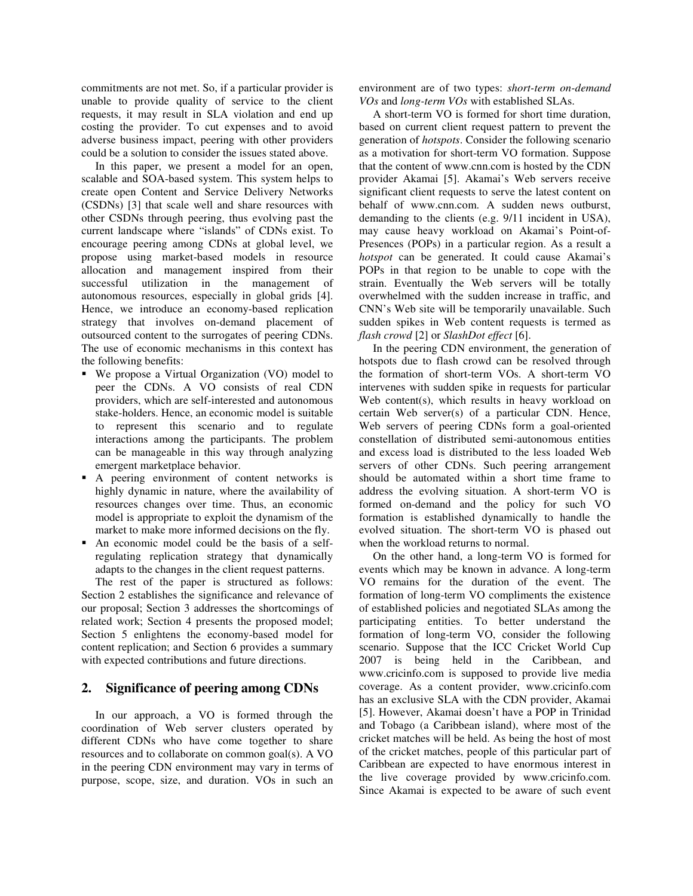commitments are not met. So, if a particular provider is unable to provide quality of service to the client requests, it may result in SLA violation and end up costing the provider. To cut expenses and to avoid adverse business impact, peering with other providers could be a solution to consider the issues stated above.

In this paper, we present a model for an open, scalable and SOA-based system. This system helps to create open Content and Service Delivery Networks (CSDNs) [3] that scale well and share resources with other CSDNs through peering, thus evolving past the current landscape where "islands" of CDNs exist. To encourage peering among CDNs at global level, we propose using market-based models in resource allocation and management inspired from their successful utilization in the management of autonomous resources, especially in global grids [4]. Hence, we introduce an economy-based replication strategy that involves on-demand placement of outsourced content to the surrogates of peering CDNs. The use of economic mechanisms in this context has the following benefits:

- We propose a Virtual Organization (VO) model to peer the CDNs. A VO consists of real CDN providers, which are self-interested and autonomous stake-holders. Hence, an economic model is suitable to represent this scenario and to regulate interactions among the participants. The problem can be manageable in this way through analyzing emergent marketplace behavior.
- A peering environment of content networks is highly dynamic in nature, where the availability of resources changes over time. Thus, an economic model is appropriate to exploit the dynamism of the market to make more informed decisions on the fly.
- An economic model could be the basis of a selfregulating replication strategy that dynamically adapts to the changes in the client request patterns.

The rest of the paper is structured as follows: Section 2 establishes the significance and relevance of our proposal; Section 3 addresses the shortcomings of related work; Section 4 presents the proposed model; Section 5 enlightens the economy-based model for content replication; and Section 6 provides a summary with expected contributions and future directions.

## **2. Significance of peering among CDNs**

In our approach, a VO is formed through the coordination of Web server clusters operated by different CDNs who have come together to share resources and to collaborate on common goal(s). A VO in the peering CDN environment may vary in terms of purpose, scope, size, and duration. VOs in such an

environment are of two types: *short-term on-demand VOs* and *long-term VOs* with established SLAs.

A short-term VO is formed for short time duration, based on current client request pattern to prevent the generation of *hotspots*. Consider the following scenario as a motivation for short-term VO formation. Suppose that the content of www.cnn.com is hosted by the CDN provider Akamai [5]. Akamai's Web servers receive significant client requests to serve the latest content on behalf of www.cnn.com. A sudden news outburst, demanding to the clients (e.g. 9/11 incident in USA), may cause heavy workload on Akamai's Point-of-Presences (POPs) in a particular region. As a result a *hotspot* can be generated. It could cause Akamai's POPs in that region to be unable to cope with the strain. Eventually the Web servers will be totally overwhelmed with the sudden increase in traffic, and CNN's Web site will be temporarily unavailable. Such sudden spikes in Web content requests is termed as *flash crowd* [2] or *SlashDot effect* [6].

In the peering CDN environment, the generation of hotspots due to flash crowd can be resolved through the formation of short-term VOs. A short-term VO intervenes with sudden spike in requests for particular Web content(s), which results in heavy workload on certain Web server(s) of a particular CDN. Hence, Web servers of peering CDNs form a goal-oriented constellation of distributed semi-autonomous entities and excess load is distributed to the less loaded Web servers of other CDNs. Such peering arrangement should be automated within a short time frame to address the evolving situation. A short-term VO is formed on-demand and the policy for such VO formation is established dynamically to handle the evolved situation. The short-term VO is phased out when the workload returns to normal.

On the other hand, a long-term VO is formed for events which may be known in advance. A long-term VO remains for the duration of the event. The formation of long-term VO compliments the existence of established policies and negotiated SLAs among the participating entities. To better understand the formation of long-term VO, consider the following scenario. Suppose that the ICC Cricket World Cup 2007 is being held in the Caribbean, and www.cricinfo.com is supposed to provide live media coverage. As a content provider, www.cricinfo.com has an exclusive SLA with the CDN provider, Akamai [5]. However, Akamai doesn't have a POP in Trinidad and Tobago (a Caribbean island), where most of the cricket matches will be held. As being the host of most of the cricket matches, people of this particular part of Caribbean are expected to have enormous interest in the live coverage provided by www.cricinfo.com. Since Akamai is expected to be aware of such event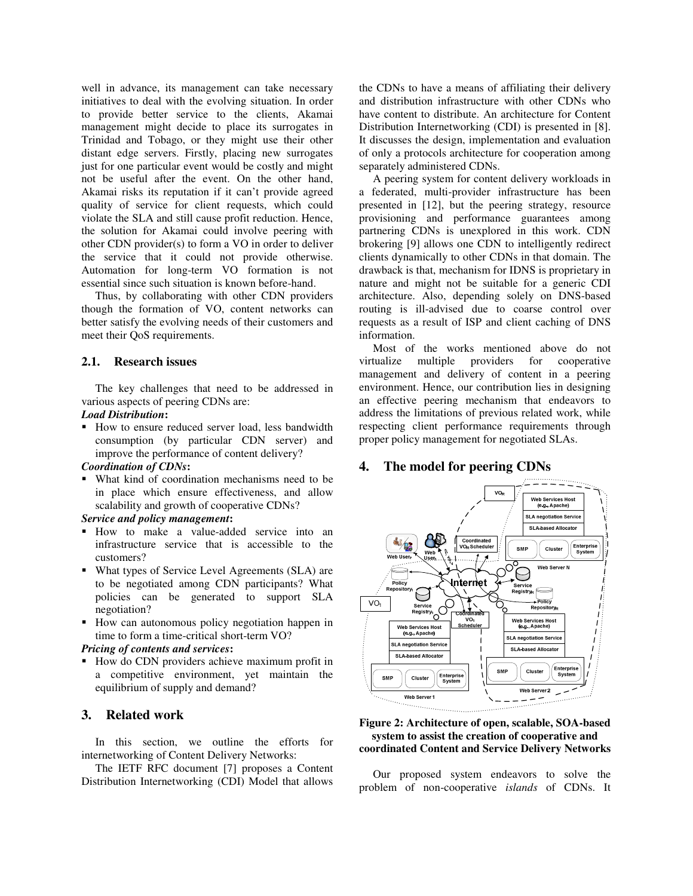well in advance, its management can take necessary initiatives to deal with the evolving situation. In order to provide better service to the clients, Akamai management might decide to place its surrogates in Trinidad and Tobago, or they might use their other distant edge servers. Firstly, placing new surrogates just for one particular event would be costly and might not be useful after the event. On the other hand, Akamai risks its reputation if it can't provide agreed quality of service for client requests, which could violate the SLA and still cause profit reduction. Hence, the solution for Akamai could involve peering with other CDN provider(s) to form a VO in order to deliver the service that it could not provide otherwise. Automation for long-term VO formation is not essential since such situation is known before-hand.

Thus, by collaborating with other CDN providers though the formation of VO, content networks can better satisfy the evolving needs of their customers and meet their QoS requirements.

#### **2.1. Research issues**

The key challenges that need to be addressed in various aspects of peering CDNs are:

#### *Load Distribution***:**

How to ensure reduced server load, less bandwidth consumption (by particular CDN server) and improve the performance of content delivery?

## *Coordination of CDNs***:**

 What kind of coordination mechanisms need to be in place which ensure effectiveness, and allow scalability and growth of cooperative CDNs?

#### *Service and policy management***:**

- How to make a value-added service into an infrastructure service that is accessible to the customers?
- What types of Service Level Agreements (SLA) are to be negotiated among CDN participants? What policies can be generated to support SLA negotiation?
- How can autonomous policy negotiation happen in time to form a time-critical short-term VO?

## *Pricing of contents and services***:**

■ How do CDN providers achieve maximum profit in a competitive environment, yet maintain the equilibrium of supply and demand?

# **3. Related work**

In this section, we outline the efforts for internetworking of Content Delivery Networks:

The IETF RFC document [7] proposes a Content Distribution Internetworking (CDI) Model that allows the CDNs to have a means of affiliating their delivery and distribution infrastructure with other CDNs who have content to distribute. An architecture for Content Distribution Internetworking (CDI) is presented in [8]. It discusses the design, implementation and evaluation of only a protocols architecture for cooperation among separately administered CDNs.

A peering system for content delivery workloads in a federated, multi-provider infrastructure has been presented in [12], but the peering strategy, resource provisioning and performance guarantees among partnering CDNs is unexplored in this work. CDN brokering [9] allows one CDN to intelligently redirect clients dynamically to other CDNs in that domain. The drawback is that, mechanism for IDNS is proprietary in nature and might not be suitable for a generic CDI architecture. Also, depending solely on DNS-based routing is ill-advised due to coarse control over requests as a result of ISP and client caching of DNS information.

Most of the works mentioned above do not virtualize multiple providers for cooperative management and delivery of content in a peering environment. Hence, our contribution lies in designing an effective peering mechanism that endeavors to address the limitations of previous related work, while respecting client performance requirements through proper policy management for negotiated SLAs.

## **4. The model for peering CDNs**



## **Figure 2: Architecture of open, scalable, SOA-based system to assist the creation of cooperative and coordinated Content and Service Delivery Networks**

Our proposed system endeavors to solve the problem of non-cooperative *islands* of CDNs. It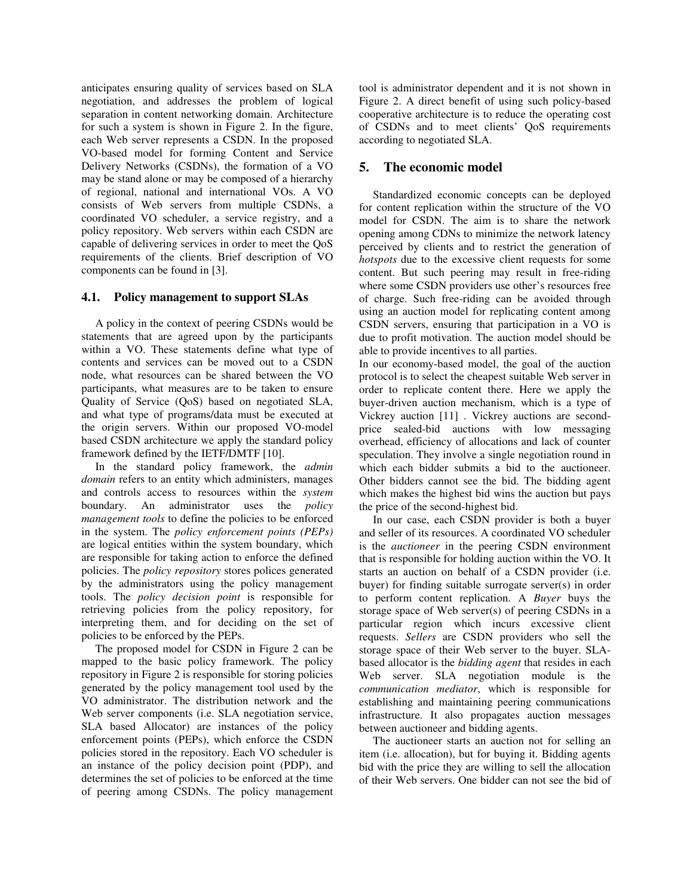anticipates ensuring quality of services based on SLA negotiation, and addresses the problem of logical separation in content networking domain. Architecture for such a system is shown in Figure 2. In the figure, each Web server represents a CSDN. In the proposed VO-based model for forming Content and Service Delivery Networks (CSDNs), the formation of a VO may be stand alone or may be composed of a hierarchy of regional, national and international VOs. A VO consists of Web servers from multiple CSDNs, a coordinated VO scheduler, a service registry, and a policy repository. Web servers within each CSDN are capable of delivering services in order to meet the QoS requirements of the clients. Brief description of VO components can be found in [3].

#### **4.1. Policy management to support SLAs**

A policy in the context of peering CSDNs would be statements that are agreed upon by the participants within a VO. These statements define what type of contents and services can be moved out to a CSDN node, what resources can be shared between the VO participants, what measures are to be taken to ensure Quality of Service (QoS) based on negotiated SLA, and what type of programs/data must be executed at the origin servers. Within our proposed VO-model based CSDN architecture we apply the standard policy framework defined by the IETF/DMTF [10].

In the standard policy framework, the *admin domain* refers to an entity which administers, manages and controls access to resources within the *system* boundary. An administrator uses the *policy management tools* to define the policies to be enforced in the system. The *policy enforcement points (PEPs)* are logical entities within the system boundary, which are responsible for taking action to enforce the defined policies. The *policy repository* stores polices generated by the administrators using the policy management tools. The *policy decision point* is responsible for retrieving policies from the policy repository, for interpreting them, and for deciding on the set of policies to be enforced by the PEPs.

The proposed model for CSDN in Figure 2 can be mapped to the basic policy framework. The policy repository in Figure 2 is responsible for storing policies generated by the policy management tool used by the VO administrator. The distribution network and the Web server components (i.e. SLA negotiation service, SLA based Allocator) are instances of the policy enforcement points (PEPs), which enforce the CSDN policies stored in the repository. Each VO scheduler is an instance of the policy decision point (PDP), and determines the set of policies to be enforced at the time of peering among CSDNs. The policy management

tool is administrator dependent and it is not shown in Figure 2. A direct benefit of using such policy-based cooperative architecture is to reduce the operating cost of CSDNs and to meet clients' QoS requirements according to negotiated SLA.

# **5. The economic model**

Standardized economic concepts can be deployed for content replication within the structure of the VO model for CSDN. The aim is to share the network opening among CDNs to minimize the network latency perceived by clients and to restrict the generation of *hotspots* due to the excessive client requests for some content. But such peering may result in free-riding where some CSDN providers use other's resources free of charge. Such free-riding can be avoided through using an auction model for replicating content among CSDN servers, ensuring that participation in a VO is due to profit motivation. The auction model should be able to provide incentives to all parties.

In our economy-based model, the goal of the auction protocol is to select the cheapest suitable Web server in order to replicate content there. Here we apply the buyer-driven auction mechanism, which is a type of Vickrey auction [11] . Vickrey auctions are secondprice sealed-bid auctions with low messaging overhead, efficiency of allocations and lack of counter speculation. They involve a single negotiation round in which each bidder submits a bid to the auctioneer. Other bidders cannot see the bid. The bidding agent which makes the highest bid wins the auction but pays the price of the second-highest bid.

In our case, each CSDN provider is both a buyer and seller of its resources. A coordinated VO scheduler is the *auctioneer* in the peering CSDN environment that is responsible for holding auction within the VO. It starts an auction on behalf of a CSDN provider (i.e. buyer) for finding suitable surrogate server(s) in order to perform content replication. A *Buyer* buys the storage space of Web server(s) of peering CSDNs in a particular region which incurs excessive client requests. *Sellers* are CSDN providers who sell the storage space of their Web server to the buyer. SLAbased allocator is the *bidding agent* that resides in each Web server. SLA negotiation module is the *communication mediator*, which is responsible for establishing and maintaining peering communications infrastructure. It also propagates auction messages between auctioneer and bidding agents.

The auctioneer starts an auction not for selling an item (i.e. allocation), but for buying it. Bidding agents bid with the price they are willing to sell the allocation of their Web servers. One bidder can not see the bid of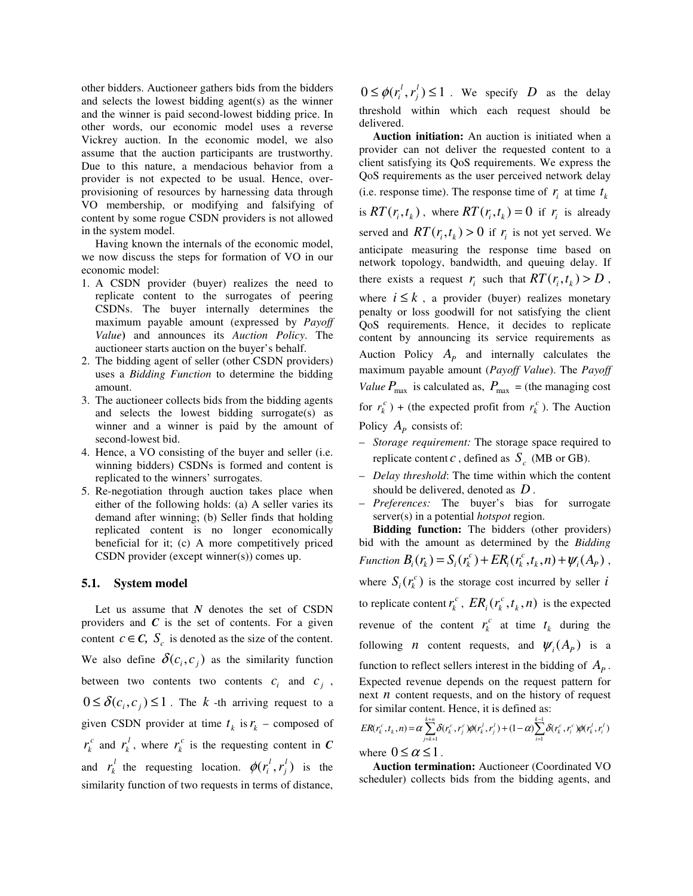other bidders. Auctioneer gathers bids from the bidders and selects the lowest bidding agent(s) as the winner and the winner is paid second-lowest bidding price. In other words, our economic model uses a reverse Vickrey auction. In the economic model, we also assume that the auction participants are trustworthy. Due to this nature, a mendacious behavior from a provider is not expected to be usual. Hence, overprovisioning of resources by harnessing data through VO membership, or modifying and falsifying of content by some rogue CSDN providers is not allowed in the system model.

Having known the internals of the economic model, we now discuss the steps for formation of VO in our economic model:

- 1. A CSDN provider (buyer) realizes the need to replicate content to the surrogates of peering CSDNs. The buyer internally determines the maximum payable amount (expressed by *Payoff Value***)** and announces its *Auction Policy*. The auctioneer starts auction on the buyer's behalf.
- 2. The bidding agent of seller (other CSDN providers) uses a *Bidding Function* to determine the bidding amount.
- 3. The auctioneer collects bids from the bidding agents and selects the lowest bidding surrogate(s) as winner and a winner is paid by the amount of second-lowest bid.
- 4. Hence, a VO consisting of the buyer and seller (i.e. winning bidders) CSDNs is formed and content is replicated to the winners' surrogates.
- 5. Re-negotiation through auction takes place when either of the following holds: (a) A seller varies its demand after winning; (b) Seller finds that holding replicated content is no longer economically beneficial for it; (c) A more competitively priced CSDN provider (except winner(s)) comes up.

#### **5.1. System model**

Let us assume that *N* denotes the set of CSDN providers and  $C$  is the set of contents. For a given content  $c \in \mathbb{C}$ ,  $S_c$  is denoted as the size of the content. We also define  $\delta(c_i, c_j)$  as the similarity function between two contents two contents  $c_i$  and  $c_j$ ,  $0 \leq \delta(c_i, c_j) \leq 1$ . The *k* -th arriving request to a given CSDN provider at time  $t_k$  is  $r_k$  – composed of *c*  $r_k^c$  and  $r_k^l$ , where  $r_k^c$  is the requesting content in *C* and  $r_k^l$  the requesting location.  $\phi(r_i^l, r_j^l)$ *j*  $\phi(r_i^l, r_j^l)$  is the similarity function of two requests in terms of distance,

 $0 \leq \phi(r_i^l, r_i^l) \leq 1$ *j*  $\phi(r_i^l, r_j^l) \le 1$ . We specify *D* as the delay threshold within which each request should be delivered.

**Auction initiation:** An auction is initiated when a provider can not deliver the requested content to a client satisfying its QoS requirements. We express the QoS requirements as the user perceived network delay (i.e. response time). The response time of  $r_i$  at time  $t_k$ is  $RT(r_i, t_k)$ , where  $RT(r_i, t_k) = 0$  if  $r_i$  is already served and  $RT(r_i, t_k) > 0$  if  $r_i$  is not yet served. We anticipate measuring the response time based on network topology, bandwidth, and queuing delay. If there exists a request  $r_i$  such that  $RT(r_i, t_k) > D$ , where  $i \leq k$ , a provider (buyer) realizes monetary penalty or loss goodwill for not satisfying the client QoS requirements. Hence, it decides to replicate content by announcing its service requirements as Auction Policy  $A_p$  and internally calculates the maximum payable amount (*Payoff Value*). The *Payoff Value*  $P_{\text{max}}$  is calculated as,  $P_{\text{max}}$  = (the managing cost for  $r_k^c$ ) + (the expected profit from  $r_k^c$ ). The Auction Policy  $A_p$  consists of:

- *Storage requirement:* The storage space required to replicate content *c*, defined as  $S_c$  (MB or GB).
- *Delay threshold*: The time within which the content should be delivered, denoted as *D* .
- *Preferences:* The buyer's bias for surrogate server(s) in a potential *hotspot* region.

**Bidding function:** The bidders (other providers) bid with the amount as determined by the *Bidding Function*  $B_i(r_k) = S_i(r_k^c) + ER_i(r_k^c, t_k, n) + \psi_i(A_p)$  $B_i(r_k) = S_i(r_k^c) + ER_i(r_k^c, t_k, n) + \psi_i(A_p)$ , where  $S_i(r_k^c)$  $S_i(r_k^c)$  is the storage cost incurred by seller *i* to replicate content  $r_k^c$ ,  $ER_i(r_k^c, t_k, n)$ *c*  $h_i(r_k^c, t_k, n)$  is the expected revenue of the content  $r_k^c$  at time  $t_k$  during the following *n* content requests, and  $\psi_i(A_p)$  is a function to reflect sellers interest in the bidding of  $A_p$ . Expected revenue depends on the request pattern for next *n* content requests, and on the history of request for similar content. Hence, it is defined as:

$$
ER(r_k^c, t_k, n) = \alpha \sum_{j=k+1}^{k+n} \delta(r_k^c, r_j^c) \phi(r_k^t, r_j^t) + (1 - \alpha) \sum_{i=1}^{k-1} \delta(r_k^c, r_i^c) \phi(r_k^t, r_i^t)
$$
  
where  $0 \le \alpha \le 1$ .

**Auction termination:** Auctioneer (Coordinated VO scheduler) collects bids from the bidding agents, and